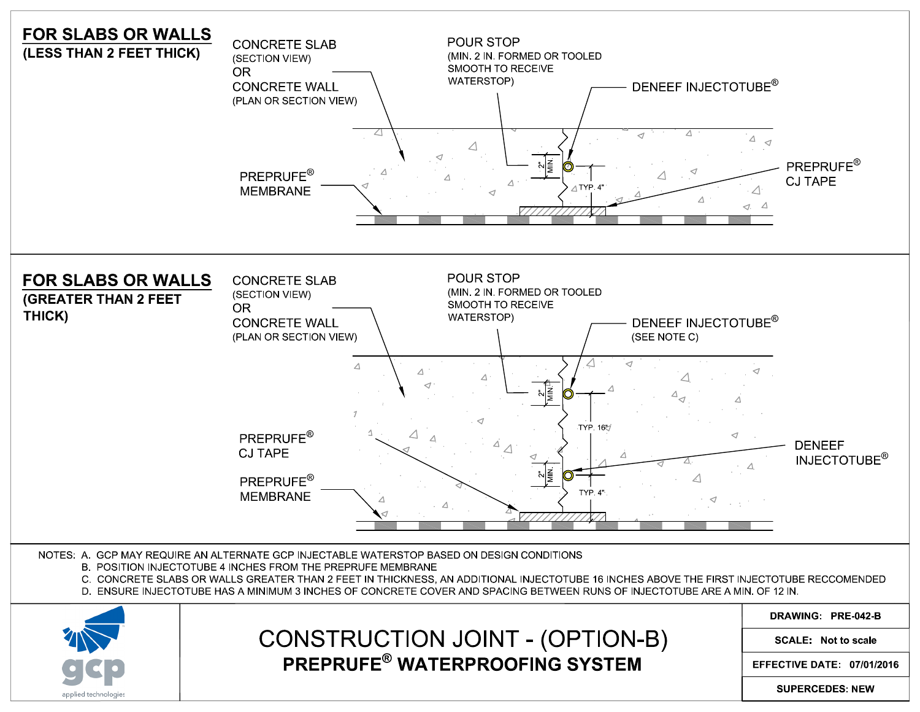